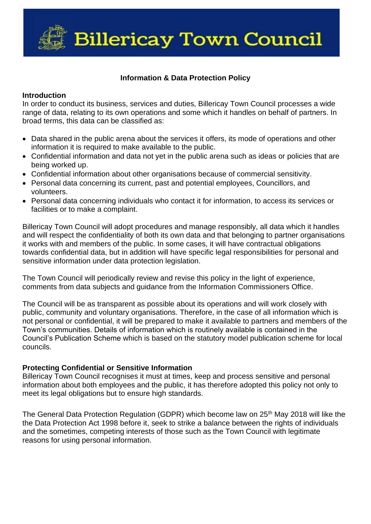**Billericay Town Council** 

### **Information & Data Protection Policy**

#### **Introduction**

In order to conduct its business, services and duties, Billericay Town Council processes a wide range of data, relating to its own operations and some which it handles on behalf of partners. In broad terms, this data can be classified as:

- Data shared in the public arena about the services it offers, its mode of operations and other information it is required to make available to the public.
- Confidential information and data not yet in the public arena such as ideas or policies that are being worked up.
- Confidential information about other organisations because of commercial sensitivity.
- Personal data concerning its current, past and potential employees, Councillors, and volunteers.
- Personal data concerning individuals who contact it for information, to access its services or facilities or to make a complaint.

Billericay Town Council will adopt procedures and manage responsibly, all data which it handles and will respect the confidentiality of both its own data and that belonging to partner organisations it works with and members of the public. In some cases, it will have contractual obligations towards confidential data, but in addition will have specific legal responsibilities for personal and sensitive information under data protection legislation.

The Town Council will periodically review and revise this policy in the light of experience, comments from data subjects and guidance from the Information Commissioners Office.

The Council will be as transparent as possible about its operations and will work closely with public, community and voluntary organisations. Therefore, in the case of all information which is not personal or confidential, it will be prepared to make it available to partners and members of the Town's communities. Details of information which is routinely available is contained in the Council's Publication Scheme which is based on the statutory model publication scheme for local councils.

#### **Protecting Confidential or Sensitive Information**

Billericay Town Council recognises it must at times, keep and process sensitive and personal information about both employees and the public, it has therefore adopted this policy not only to meet its legal obligations but to ensure high standards.

The General Data Protection Regulation (GDPR) which become law on 25<sup>th</sup> Mav 2018 will like the the Data Protection Act 1998 before it, seek to strike a balance between the rights of individuals and the sometimes, competing interests of those such as the Town Council with legitimate reasons for using personal information.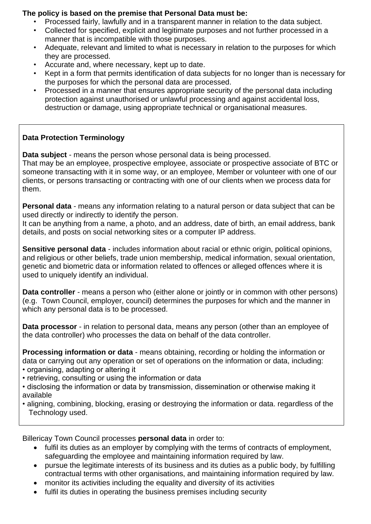## **The policy is based on the premise that Personal Data must be:**

- Processed fairly, lawfully and in a transparent manner in relation to the data subject.
- Collected for specified, explicit and legitimate purposes and not further processed in a manner that is incompatible with those purposes.
- Adequate, relevant and limited to what is necessary in relation to the purposes for which they are processed.
- Accurate and, where necessary, kept up to date.
- Kept in a form that permits identification of data subjects for no longer than is necessary for the purposes for which the personal data are processed.
- Processed in a manner that ensures appropriate security of the personal data including protection against unauthorised or unlawful processing and against accidental loss, destruction or damage, using appropriate technical or organisational measures.

# **Data Protection Terminology**

**Data subject** - means the person whose personal data is being processed.

That may be an employee, prospective employee, associate or prospective associate of BTC or someone transacting with it in some way, or an employee, Member or volunteer with one of our clients, or persons transacting or contracting with one of our clients when we process data for them.

**Personal data** - means any information relating to a natural person or data subject that can be used directly or indirectly to identify the person.

It can be anything from a name, a photo, and an address, date of birth, an email address, bank details, and posts on social networking sites or a computer IP address.

**Sensitive personal data** - includes information about racial or ethnic origin, political opinions, and religious or other beliefs, trade union membership, medical information, sexual orientation, genetic and biometric data or information related to offences or alleged offences where it is used to uniquely identify an individual.

**Data controller** - means a person who (either alone or jointly or in common with other persons) (e.g. Town Council, employer, council) determines the purposes for which and the manner in which any personal data is to be processed.

**Data processor** - in relation to personal data, means any person (other than an employee of the data controller) who processes the data on behalf of the data controller.

**Processing information or data** - means obtaining, recording or holding the information or data or carrying out any operation or set of operations on the information or data, including: • organising, adapting or altering it

- retrieving, consulting or using the information or data
- disclosing the information or data by transmission, dissemination or otherwise making it available
- aligning, combining, blocking, erasing or destroying the information or data. regardless of the Technology used.

Billericay Town Council processes **personal data** in order to:

- fulfil its duties as an employer by complying with the terms of contracts of employment, safeguarding the employee and maintaining information required by law.
- pursue the legitimate interests of its business and its duties as a public body, by fulfilling contractual terms with other organisations, and maintaining information required by law.
- monitor its activities including the equality and diversity of its activities
- fulfil its duties in operating the business premises including security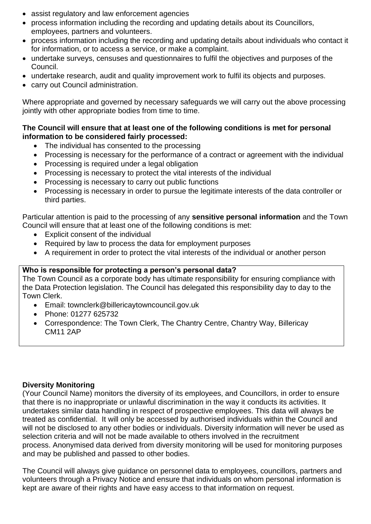- assist regulatory and law enforcement agencies
- process information including the recording and updating details about its Councillors, employees, partners and volunteers.
- process information including the recording and updating details about individuals who contact it for information, or to access a service, or make a complaint.
- undertake surveys, censuses and questionnaires to fulfil the objectives and purposes of the Council.
- undertake research, audit and quality improvement work to fulfil its objects and purposes.
- carry out Council administration.

Where appropriate and governed by necessary safeguards we will carry out the above processing jointly with other appropriate bodies from time to time.

## **The Council will ensure that at least one of the following conditions is met for personal information to be considered fairly processed:**

- The individual has consented to the processing
- Processing is necessary for the performance of a contract or agreement with the individual
- Processing is required under a legal obligation
- Processing is necessary to protect the vital interests of the individual
- Processing is necessary to carry out public functions
- Processing is necessary in order to pursue the legitimate interests of the data controller or third parties.

Particular attention is paid to the processing of any **sensitive personal information** and the Town Council will ensure that at least one of the following conditions is met:

- Explicit consent of the individual
- Required by law to process the data for employment purposes
- A requirement in order to protect the vital interests of the individual or another person

# **Who is responsible for protecting a person's personal data?**

The Town Council as a corporate body has ultimate responsibility for ensuring compliance with the Data Protection legislation. The Council has delegated this responsibility day to day to the Town Clerk.

- Email: townclerk@billericaytowncouncil.gov.uk
- Phone: 01277 625732
- Correspondence: The Town Clerk, The Chantry Centre, Chantry Way, Billericay CM11 2AP

# **Diversity Monitoring**

(Your Council Name) monitors the diversity of its employees, and Councillors, in order to ensure that there is no inappropriate or unlawful discrimination in the way it conducts its activities. It undertakes similar data handling in respect of prospective employees. This data will always be treated as confidential. It will only be accessed by authorised individuals within the Council and will not be disclosed to any other bodies or individuals. Diversity information will never be used as selection criteria and will not be made available to others involved in the recruitment process. Anonymised data derived from diversity monitoring will be used for monitoring purposes and may be published and passed to other bodies.

The Council will always give guidance on personnel data to employees, councillors, partners and volunteers through a Privacy Notice and ensure that individuals on whom personal information is kept are aware of their rights and have easy access to that information on request.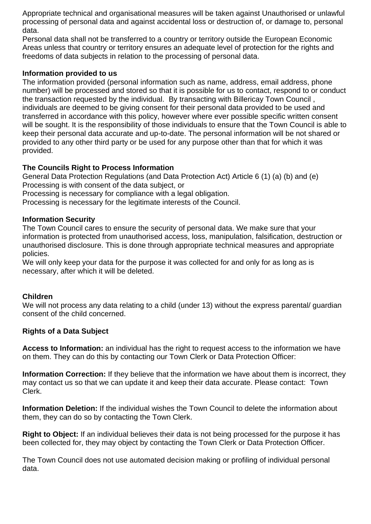Appropriate technical and organisational measures will be taken against Unauthorised or unlawful processing of personal data and against accidental loss or destruction of, or damage to, personal data.

Personal data shall not be transferred to a country or territory outside the European Economic Areas unless that country or territory ensures an adequate level of protection for the rights and freedoms of data subjects in relation to the processing of personal data.

## **Information provided to us**

The information provided (personal information such as name, address, email address, phone number) will be processed and stored so that it is possible for us to contact, respond to or conduct the transaction requested by the individual. By transacting with Billericay Town Council , individuals are deemed to be giving consent for their personal data provided to be used and transferred in accordance with this policy, however where ever possible specific written consent will be sought. It is the responsibility of those individuals to ensure that the Town Council is able to keep their personal data accurate and up-to-date. The personal information will be not shared or provided to any other third party or be used for any purpose other than that for which it was provided.

## **The Councils Right to Process Information**

General Data Protection Regulations (and Data Protection Act) Article 6 (1) (a) (b) and (e) Processing is with consent of the data subject, or

Processing is necessary for compliance with a legal obligation.

Processing is necessary for the legitimate interests of the Council.

### **Information Security**

The Town Council cares to ensure the security of personal data. We make sure that your information is protected from unauthorised access, loss, manipulation, falsification, destruction or unauthorised disclosure. This is done through appropriate technical measures and appropriate policies.

We will only keep your data for the purpose it was collected for and only for as long as is necessary, after which it will be deleted.

#### **Children**

We will not process any data relating to a child (under 13) without the express parental/ guardian consent of the child concerned.

## **Rights of a Data Subject**

**Access to Information:** an individual has the right to request access to the information we have on them. They can do this by contacting our Town Clerk or Data Protection Officer:

**Information Correction:** If they believe that the information we have about them is incorrect, they may contact us so that we can update it and keep their data accurate. Please contact: Town Clerk.

**Information Deletion:** If the individual wishes the Town Council to delete the information about them, they can do so by contacting the Town Clerk.

**Right to Object:** If an individual believes their data is not being processed for the purpose it has been collected for, they may object by contacting the Town Clerk or Data Protection Officer.

The Town Council does not use automated decision making or profiling of individual personal data.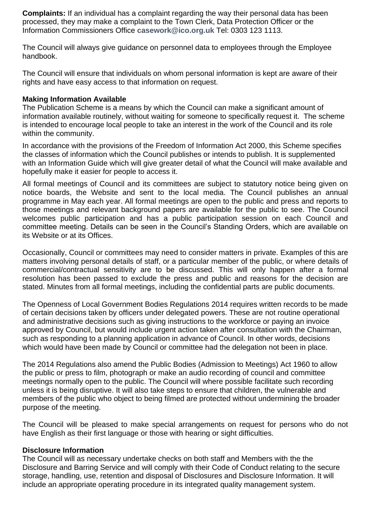**Complaints:** If an individual has a complaint regarding the way their personal data has been processed, they may make a complaint to the Town Clerk, Data Protection Officer or the Information Commissioners Office **[casework@ico.org.uk](mailto:casework@ico.org.uk)** Tel: 0303 123 1113.

The Council will always give guidance on personnel data to employees through the Employee handbook.

The Council will ensure that individuals on whom personal information is kept are aware of their rights and have easy access to that information on request.

#### **Making Information Available**

The Publication Scheme is a means by which the Council can make a significant amount of information available routinely, without waiting for someone to specifically request it. The scheme is intended to encourage local people to take an interest in the work of the Council and its role within the community.

In accordance with the provisions of the Freedom of Information Act 2000, this Scheme specifies the classes of information which the Council publishes or intends to publish. It is supplemented with an Information Guide which will give greater detail of what the Council will make available and hopefully make it easier for people to access it.

All formal meetings of Council and its committees are subject to statutory notice being given on notice boards, the Website and sent to the local media. The Council publishes an annual programme in May each year. All formal meetings are open to the public and press and reports to those meetings and relevant background papers are available for the public to see. The Council welcomes public participation and has a public participation session on each Council and committee meeting. Details can be seen in the Council's Standing Orders, which are available on its Website or at its Offices.

Occasionally, Council or committees may need to consider matters in private. Examples of this are matters involving personal details of staff, or a particular member of the public, or where details of commercial/contractual sensitivity are to be discussed. This will only happen after a formal resolution has been passed to exclude the press and public and reasons for the decision are stated. Minutes from all formal meetings, including the confidential parts are public documents.

The Openness of Local Government Bodies Regulations 2014 requires written records to be made of certain decisions taken by officers under delegated powers. These are not routine operational and administrative decisions such as giving instructions to the workforce or paying an invoice approved by Council, but would include urgent action taken after consultation with the Chairman, such as responding to a planning application in advance of Council. In other words, decisions which would have been made by Council or committee had the delegation not been in place.

The 2014 Regulations also amend the Public Bodies (Admission to Meetings) Act 1960 to allow the public or press to film, photograph or make an audio recording of council and committee meetings normally open to the public. The Council will where possible facilitate such recording unless it is being disruptive. It will also take steps to ensure that children, the vulnerable and members of the public who object to being filmed are protected without undermining the broader purpose of the meeting.

The Council will be pleased to make special arrangements on request for persons who do not have English as their first language or those with hearing or sight difficulties.

#### **Disclosure Information**

The Council will as necessary undertake checks on both staff and Members with the the Disclosure and Barring Service and will comply with their Code of Conduct relating to the secure storage, handling, use, retention and disposal of Disclosures and Disclosure Information. It will include an appropriate operating procedure in its integrated quality management system.